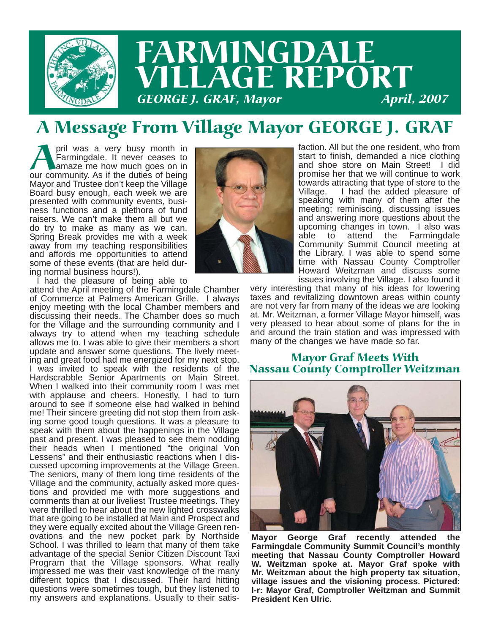

#### A Message From Village Mayor GEORGE J. GRAF

**April was a very busy month in Farmingdale.** It never ceases to amaze me how much goes on in our community. As if the duties of being Farmingdale. It never ceases to amaze me how much goes on in our community. As if the duties of being Mayor and Trustee don't keep the Village Board busy enough, each week we are presented with community events, business functions and a plethora of fund raisers. We can't make them all but we do try to make as many as we can. Spring Break provides me with a week away from my teaching responsibilities and affords me opportunities to attend some of these events (that are held during normal business hours!).



faction. All but the one resident, who from start to finish, demanded a nice clothing and shoe store on Main Street! I did promise her that we will continue to work towards attracting that type of store to the Village. I had the added pleasure of speaking with many of them after the meeting; reminiscing, discussing issues and answering more questions about the upcoming changes in town. I also was able to attend the Farmingdale Community Summit Council meeting at the Library. I was able to spend some time with Nassau County Comptroller Howard Weitzman and discuss some issues involving the Village. I also found it

I had the pleasure of being able to

attend the April meeting of the Farmingdale Chamber of Commerce at Palmers American Grille. I always enjoy meeting with the local Chamber members and discussing their needs. The Chamber does so much for the Village and the surrounding community and I always try to attend when my teaching schedule allows me to. I was able to give their members a short update and answer some questions. The lively meeting and great food had me energized for my next stop. I was invited to speak with the residents of the Hardscrabble Senior Apartments on Main Street. When I walked into their community room I was met with applause and cheers. Honestly, I had to turn around to see if someone else had walked in behind me! Their sincere greeting did not stop them from asking some good tough questions. It was a pleasure to speak with them about the happenings in the Village past and present. I was pleased to see them nodding their heads when I mentioned "the original Von Lessens" and their enthusiastic reactions when I discussed upcoming improvements at the Village Green. The seniors, many of them long time residents of the Village and the community, actually asked more questions and provided me with more suggestions and comments than at our liveliest Trustee meetings. They were thrilled to hear about the new lighted crosswalks that are going to be installed at Main and Prospect and they were equally excited about the Village Green renovations and the new pocket park by Northside School. I was thrilled to learn that many of them take advantage of the special Senior Citizen Discount Taxi Program that the Village sponsors. What really impressed me was their vast knowledge of the many different topics that I discussed. Their hard hitting questions were sometimes tough, but they listened to my answers and explanations. Usually to their satisvery interesting that many of his ideas for lowering taxes and revitalizing downtown areas within county are not very far from many of the ideas we are looking at. Mr. Weitzman, a former Village Mayor himself, was very pleased to hear about some of plans for the in and around the train station and was impressed with many of the changes we have made so far.

# Mayor Graf Meets With Nassau County Comptroller Weitzman



**Mayor George Graf recently attended the Farmingdale Community Summit Council's monthly meeting that Nassau County Comptroller Howard W. Weitzman spoke at. Mayor Graf spoke with Mr. Weitzman about the high property tax situation, village issues and the visioning process. Pictured: l-r: Mayor Graf, Comptroller Weitzman and Summit President Ken Ulric.**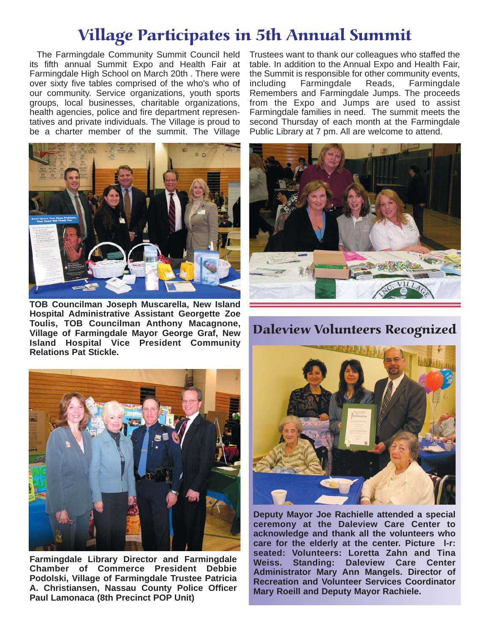#### Village Participates in 5th Annual Summit

The Farmingdale Community Summit Council held its fifth annual Summit Expo and Health Fair at Farmingdale High School on March 20th . There were over sixty five tables comprised of the who's who of our community. Service organizations, youth sports groups, local businesses, charitable organizations, health agencies, police and fire department representatives and private individuals. The Village is proud to be a charter member of the summit. The Village



**TOB Councilman Joseph Muscarella, New Island Hospital Administrative Assistant Georgette Zoe Toulis, TOB Councilman Anthony Macagnone, Village of Farmingdale Mayor George Graf, New Island Hospital Vice President Community Relations Pat Stickle.**



**Farmingdale Library Director and Farmingdale Chamber of Commerce President Debbie Podolski, Village of Farmingdale Trustee Patricia A. Christiansen, Nassau County Police Officer Paul Lamonaca (8th Precinct POP Unit)**

Trustees want to thank our colleagues who staffed the table. In addition to the Annual Expo and Health Fair, the Summit is responsible for other community events, including Farmingdale Reads, Farmingdale Remembers and Farmingdale Jumps. The proceeds from the Expo and Jumps are used to assist Farmingdale families in need. The summit meets the second Thursday of each month at the Farmingdale Public Library at 7 pm. All are welcome to attend.



Daleview Volunteers Recognized



**Deputy Mayor Joe Rachielle attended a special ceremony at the Daleview Care Center to acknowledge and thank all the volunteers who care for the elderly at the center. Picture l-r: seated: Volunteers: Loretta Zahn and Tina Weiss. Standing: Daleview Care Center Administrator Mary Ann Mangels. Director of Recreation and Volunteer Services Coordinator Mary Roeill and Deputy Mayor Rachiele.**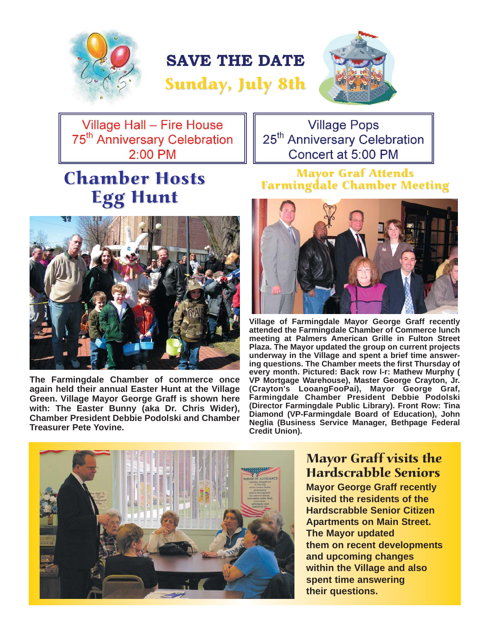

### **SAVE THE DATE**





Village Hall - Fire House 75<sup>th</sup> Anniversary Celebration 2:00 PM

## **Chamber Hosts Egg Hunt**



**The Farmingdale Chamber of commerce once again held their annual Easter Hunt at the Village Green. Village Mayor George Graff is shown here with: The Easter Bunny (aka Dr. Chris Wider), Chamber President Debbie Podolski and Chamber Treasurer Pete Yovine.**

#### Mayor Graf Attends Farmingdale Chamber Meeting

**Village Pops** 25<sup>th</sup> Anniversary Celebration

Concert at 5:00 PM



**Village of Farmingdale Mayor George Graff recently attended the Farmingdale Chamber of Commerce lunch meeting at Palmers American Grille in Fulton Street Plaza. The Mayor updated the group on current projects underway in the Village and spent a brief time answering questions. The Chamber meets the first Thursday of every month. Pictured: Back row l-r: Mathew Murphy ( VP Mortgage Warehouse), Master George Crayton, Jr. (Crayton's LooangFooPai), Mayor George Graf, Farmingdale Chamber President Debbie Podolski (Director Farmingdale Public Library). Front Row: Tina Diamond (VP-Farmingdale Board of Education), John Neglia (Business Service Manager, Bethpage Federal Credit Union).**



#### Mayor Graff visits the Hardscrabble Seniors

**Mayor George Graff recently visited the residents of the Hardscrabble Senior Citizen Apartments on Main Street. The Mayor updated them on recent developments and upcoming changes within the Village and also spent time answering their questions.**